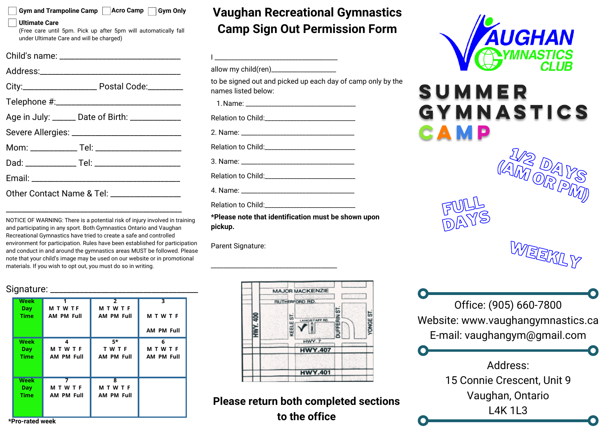#### **Gym and Trampoline Camp Acro Camp Gym Only**

#### **Ultimate Care**

(Free care until 5pm. Pick up after 5pm will automatically fall under Ultimate Care and will be charged)

|                                              | Age in July: ______ Date of Birth: ____________   |  |  |  |
|----------------------------------------------|---------------------------------------------------|--|--|--|
|                                              |                                                   |  |  |  |
|                                              | Mom: ______________ Tel: ________________________ |  |  |  |
|                                              |                                                   |  |  |  |
|                                              |                                                   |  |  |  |
| Other Contact Name & Tel: __________________ |                                                   |  |  |  |

NOTICE OF WARNING: There is a potential risk of injury involved in training and participating in any sport. Both Gymnastics Ontario and Vaughan Recreational Gymnastics have tried to create a safe and controlled environment for participation. Rules have been established for participation and conduct in and around the gymnastics areas MUST be followed. Please note that your child's image may be used on our website or in promotional materials. If you wish to opt out, you must do so in writing.

\_\_\_\_\_\_\_\_\_\_\_\_\_\_\_\_\_\_\_\_\_\_\_\_\_\_\_\_\_\_\_\_\_\_\_\_\_\_\_\_\_\_\_\_\_

#### Signature:

| Week        |                   | $\overline{2}$          | 3                 |  |  |  |
|-------------|-------------------|-------------------------|-------------------|--|--|--|
| <b>Day</b>  | <b>MTWTF</b>      | <b>MTWTF</b>            |                   |  |  |  |
| <b>Time</b> | <b>AM PM Full</b> | <b>AM PM Full</b>       | <b>MTWTF</b>      |  |  |  |
|             |                   |                         | <b>AM PM Full</b> |  |  |  |
| Week        | 4                 | 5*                      | 6                 |  |  |  |
| <b>Day</b>  | <b>MTWTF</b>      | TWTF                    | <b>MTWTF</b>      |  |  |  |
| <b>Time</b> | <b>AM PM Full</b> | <b>AM PM Full</b>       | <b>AM PM Full</b> |  |  |  |
|             |                   |                         |                   |  |  |  |
| <b>Week</b> | 7                 | $\overline{\mathbf{z}}$ |                   |  |  |  |
| <b>Day</b>  | <b>MTWTF</b>      | <b>MTWTF</b>            |                   |  |  |  |
| <b>Time</b> | <b>AM PM Full</b> | <b>AM PM Full</b>       |                   |  |  |  |
|             |                   |                         |                   |  |  |  |
|             |                   |                         |                   |  |  |  |

## **Vaughan Recreational Gymnastics Camp Sign Out Permission Form**

| to be signed out and picked up each day of camp only by the<br>names listed below: |  |
|------------------------------------------------------------------------------------|--|
|                                                                                    |  |
|                                                                                    |  |
|                                                                                    |  |
|                                                                                    |  |
|                                                                                    |  |
|                                                                                    |  |
|                                                                                    |  |
|                                                                                    |  |
| *Please note that identification must he shown unon                                |  |

**\*Please note that identification must be shown upon pickup.**

\_\_\_\_\_\_\_\_\_\_\_\_\_\_\_\_\_\_\_\_\_\_\_\_\_\_\_\_\_\_\_\_\_\_\_\_\_\_\_

Parent Signature:



**Please return both completed sections to the office**



# SUMMER GYMNASTICS CAMP

FULL DAYS

![](_page_0_Picture_16.jpeg)

1/2 DAYS

(AM OR PM)

Office: (905) 660-7800 Website: www.vaughangymnastics.ca E-mail: vaughangym@gmail.com

> Address: 15 Connie Crescent, Unit 9 Vaughan, Ontario L4K 1L3

**\*Pro-rated week**